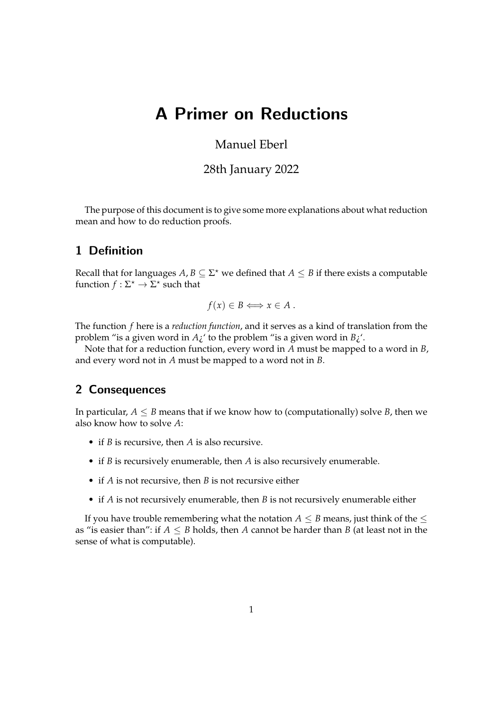# A Primer on Reductions

# Manuel Eberl

## 28th January 2022

The purpose of this document is to give some more explanations about what reduction mean and how to do reduction proofs.

# 1 Definition

Recall that for languages  $A, B \subseteq \Sigma^*$  we defined that  $A \leq B$  if there exists a computable function  $f : \Sigma^* \to \overline{\Sigma^*}$  such that

$$
f(x) \in B \Longleftrightarrow x \in A.
$$

The function *f* here is a *reduction function*, and it serves as a kind of translation from the problem "is a given word in *A*¿' to the problem "is a given word in *B*¿'.

Note that for a reduction function, every word in *A* must be mapped to a word in *B*, and every word not in *A* must be mapped to a word not in *B*.

#### 2 Consequences

In particular,  $A \leq B$  means that if we know how to (computationally) solve *B*, then we also know how to solve *A*:

- if *B* is recursive, then *A* is also recursive.
- if *B* is recursively enumerable, then *A* is also recursively enumerable.
- if *A* is not recursive, then *B* is not recursive either
- if *A* is not recursively enumerable, then *B* is not recursively enumerable either

If you have trouble remembering what the notation  $A \leq B$  means, just think of the  $\leq$ as "is easier than": if  $A \leq B$  holds, then A cannot be harder than B (at least not in the sense of what is computable).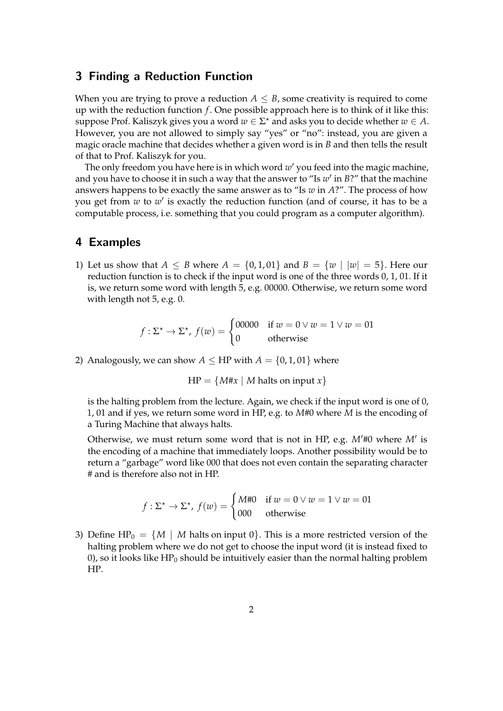#### 3 Finding a Reduction Function

When you are trying to prove a reduction  $A \leq B$ , some creativity is required to come up with the reduction function *f* . One possible approach here is to think of it like this: suppose Prof. Kaliszyk gives you a word  $w \in \Sigma^*$  and asks you to decide whether  $w \in A$ . However, you are not allowed to simply say "yes" or "no": instead, you are given a magic oracle machine that decides whether a given word is in *B* and then tells the result of that to Prof. Kaliszyk for you.

The only freedom you have here is in which word w' you feed into the magic machine, and you have to choose it in such a way that the answer to "Is w' in B?" that the machine answers happens to be exactly the same answer as to "Is *w* in *A*?". The process of how you get from *w* to *w'* is exactly the reduction function (and of course, it has to be a computable process, i.e. something that you could program as a computer algorithm).

## 4 Examples

1) Let us show that  $A \leq B$  where  $A = \{0, 1, 01\}$  and  $B = \{w \mid |w| = 5\}$ . Here our reduction function is to check if the input word is one of the three words 0, 1, 01. If it is, we return some word with length 5, e.g. 00000. Otherwise, we return some word with length not 5, e.g. 0.

$$
f: \Sigma^* \to \Sigma^*, \ f(w) = \begin{cases} 00000 & \text{if } w = 0 \lor w = 1 \lor w = 01 \\ 0 & \text{otherwise} \end{cases}
$$

2) Analogously, we can show  $A \leq HP$  with  $A = \{0, 1, 01\}$  where

 $HP = \{M \# x \mid M \text{ halts on input } x\}$ 

is the halting problem from the lecture. Again, we check if the input word is one of 0, 1, 01 and if yes, we return some word in HP, e.g. to *M*#0 where *M* is the encoding of a Turing Machine that always halts.

Otherwise, we must return some word that is not in HP, e.g. *M*′#0 where *M*′ is the encoding of a machine that immediately loops. Another possibility would be to return a "garbage" word like 000 that does not even contain the separating character # and is therefore also not in HP.

$$
f: \Sigma^* \to \Sigma^*, \ f(w) = \begin{cases} M\#0 & \text{if } w = 0 \lor w = 1 \lor w = 01 \\ 000 & \text{otherwise} \end{cases}
$$

3) Define HP<sub>0</sub> =  $\{M \mid M \text{ halts on input } 0\}$ . This is a more restricted version of the halting problem where we do not get to choose the input word (it is instead fixed to 0), so it looks like  $HP_0$  should be intuitively easier than the normal halting problem HP.